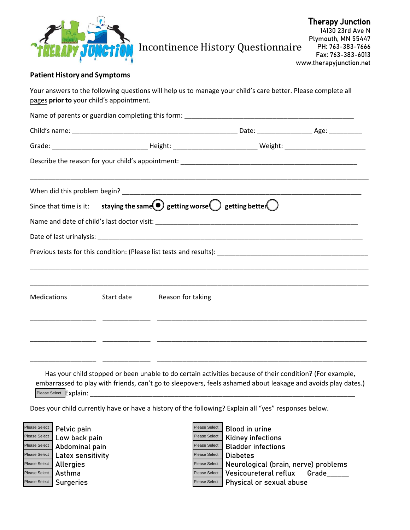

# Incontinence History Questionnaire

### **Patient History and Symptoms**

Your answers to the following questions will help us to manage your child's care better. Please complete all pages **prior to** your child's appointment.

| Since that time is it: staying the same getting worse getting better $\bigcirc$ |  |                              |  |  |  |
|---------------------------------------------------------------------------------|--|------------------------------|--|--|--|
|                                                                                 |  |                              |  |  |  |
|                                                                                 |  |                              |  |  |  |
|                                                                                 |  |                              |  |  |  |
|                                                                                 |  |                              |  |  |  |
| Medications                                                                     |  | Start date Reason for taking |  |  |  |
|                                                                                 |  |                              |  |  |  |
|                                                                                 |  |                              |  |  |  |
|                                                                                 |  |                              |  |  |  |
|                                                                                 |  |                              |  |  |  |

Has your child stopped or been unable to do certain activities because of their condition? (For example, embarrassed to play with friends, can't go to sleepovers, feels ashamed about leakage and avoids play dates.) Please Select **Explain:** 

Does your child currently have or have a history of the following? Explain all "yes" responses below.

Please Select Please Select Please Select Please Select Please Select Please Select Please Select Peace Celect Peace Select Peace Select Peace Select Peace Select Peace Select Please Select Please Select Please Select Please Select Please Select Please Select Please Select Please Select Please Select Plea

Pelvic pain V and The Masse Select Blood in urine Low back pain The Communist Communist Please Select Ridney infections<br>Abdominal nain Y Research Riadder infections Abdominal pain The Communist Chease Select Bladder infections Latex sensitivity<br>
Allernies<br>
Neurolog Allergies The Matter of Please Select | Neurological (brain, nerve) problems Asthma  $\vert$ Please Select | Vesicoureteral reflux Grade Please Select | Surgeries Your Management Controller Please Select | Physical or sexual abuse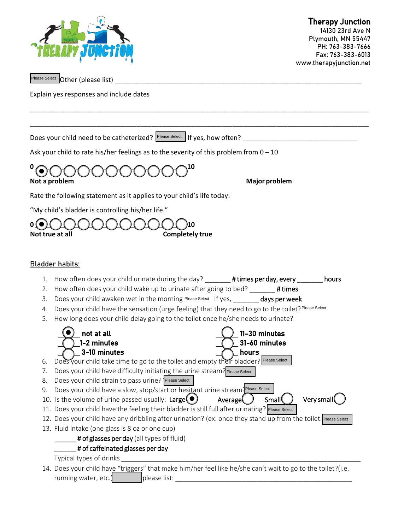

14130 23rd Ave N Plymouth, MN 55447 PH: 763-383-7666 Fax: 763-383-6013 www.therapyjunction.net

Please Select **Other** (please list)

Explain yes responses and include dates

Does your child need to be catheterized? <sup>Please Select</sup> If yes, how often?

Ask your child to rate his/her feelings as to the severity of this problem from  $0 - 10$ 



Rate the following statement as it applies to your child's life today:

"My child's bladder is controlling his/her life."



## Bladder habits:

1. How often does your child urinate during the day? \_\_\_\_\_\_# times per day, every \_\_\_\_\_\_\_ hours

\_\_\_\_\_\_\_\_\_\_\_\_\_\_\_\_\_\_\_\_\_\_\_\_\_\_\_\_\_\_\_\_\_\_\_\_\_\_\_\_\_\_\_\_\_\_\_\_\_\_\_\_\_\_\_\_\_\_\_\_\_\_\_\_\_\_\_\_\_\_\_\_\_\_\_\_\_\_\_\_\_\_\_\_\_\_\_\_\_\_\_\_

\_\_\_\_\_\_\_\_\_\_\_\_\_\_\_\_\_\_\_\_\_\_\_\_\_\_\_\_\_\_\_\_\_\_\_\_\_\_\_\_\_\_\_\_\_\_\_\_\_\_\_\_\_\_\_\_\_\_\_\_\_\_\_\_\_\_\_\_\_\_\_\_\_\_\_\_\_\_\_\_\_\_\_\_\_\_\_\_\_\_\_\_

- 2. How often does your child wake up to urinate after going to bed? # times
- 3. Does your child awaken wet in the morning Please Select If yes, \_\_\_\_\_\_\_ days per week
- 4. Does your child have the sensation (urge feeling) that they need to go to the toilet? Please Select
- 5. How long does your child delay going to the toilet once he/she needs to urinate?